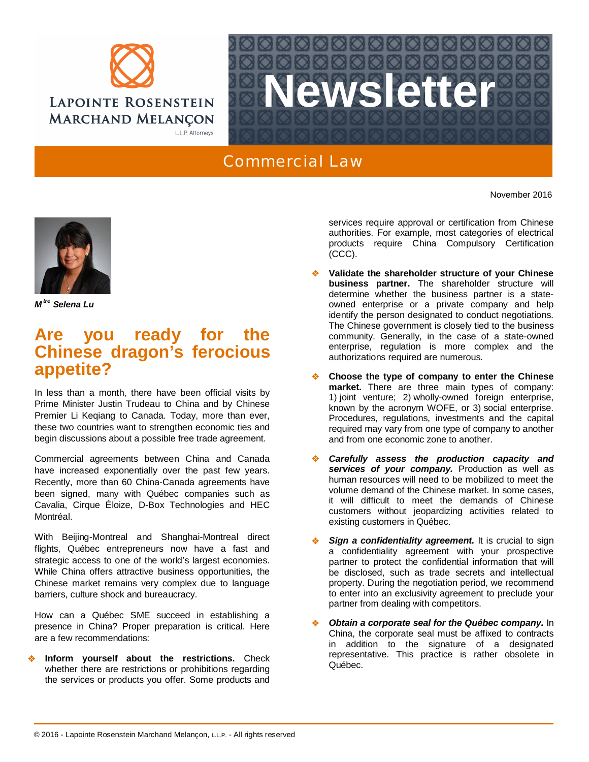



## Commercial Law

November 2016



*M tre Selena Lu*

## **Are you ready for the Chinese dragon's ferocious appetite?**

In less than a month, there have been official visits by Prime Minister Justin Trudeau to China and by Chinese Premier Li Keqiang to Canada. Today, more than ever, these two countries want to strengthen economic ties and begin discussions about a possible free trade agreement.

Commercial agreements between China and Canada have increased exponentially over the past few years. Recently, more than 60 China-Canada agreements have been signed, many with Québec companies such as Cavalia, Cirque Éloize, D-Box Technologies and HEC Montréal.

With Beijing-Montreal and Shanghai-Montreal direct flights, Québec entrepreneurs now have a fast and strategic access to one of the world's largest economies. While China offers attractive business opportunities, the Chinese market remains very complex due to language barriers, culture shock and bureaucracy.

How can a Québec SME succeed in establishing a presence in China? Proper preparation is critical. Here are a few recommendations:

 **Inform yourself about the restrictions.** Check whether there are restrictions or prohibitions regarding the services or products you offer. Some products and services require approval or certification from Chinese authorities. For example, most categories of electrical products require China Compulsory Certification (CCC).

- **Validate the shareholder structure of your Chinese business partner.** The shareholder structure will determine whether the business partner is a stateowned enterprise or a private company and help identify the person designated to conduct negotiations. The Chinese government is closely tied to the business community. Generally, in the case of a state-owned enterprise, regulation is more complex and the authorizations required are numerous.
- **Choose the type of company to enter the Chinese market.** There are three main types of company: 1) joint venture; 2) wholly-owned foreign enterprise, known by the acronym WOFE, or 3) social enterprise. Procedures, regulations, investments and the capital required may vary from one type of company to another and from one economic zone to another.
- *Carefully assess the production capacity and services of your company.* Production as well as human resources will need to be mobilized to meet the volume demand of the Chinese market. In some cases, it will difficult to meet the demands of Chinese customers without jeopardizing activities related to existing customers in Québec.
- **Sign a confidentiality agreement.** It is crucial to sign a confidentiality agreement with your prospective partner to protect the confidential information that will be disclosed, such as trade secrets and intellectual property. During the negotiation period, we recommend to enter into an exclusivity agreement to preclude your partner from dealing with competitors.
- *Obtain a corporate seal for the Québec company.* In China, the corporate seal must be affixed to contracts in addition to the signature of a designated representative. This practice is rather obsolete in Québec.